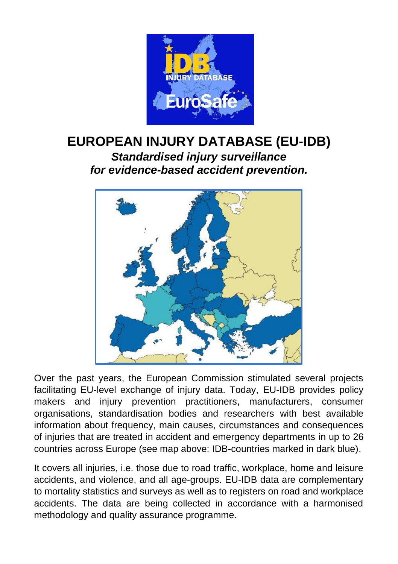

## **EUROPEAN INJURY DATABASE (EU-IDB)** *Standardised injury surveillance for evidence-based accident prevention.*



Over the past years, the European Commission stimulated several projects facilitating EU-level exchange of injury data. Today, EU-IDB provides policy makers and injury prevention practitioners, manufacturers, consumer organisations, standardisation bodies and researchers with best available information about frequency, main causes, circumstances and consequences of injuries that are treated in accident and emergency departments in up to 26 countries across Europe (see map above: IDB-countries marked in dark blue).

It covers all injuries, i.e. those due to road traffic, workplace, home and leisure accidents, and violence, and all age-groups. EU-IDB data are complementary to mortality statistics and surveys as well as to registers on road and workplace accidents. The data are being collected in accordance with a harmonised methodology and quality assurance programme.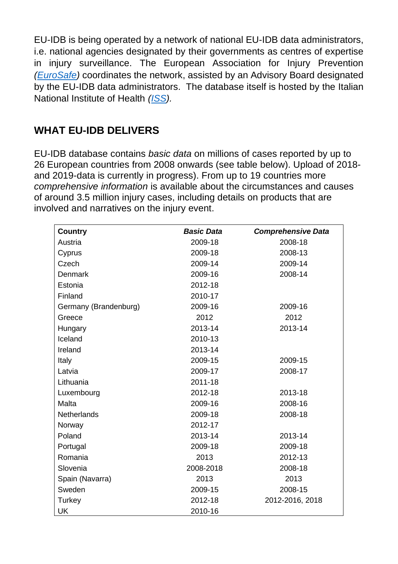EU-IDB is being operated by a network of national EU-IDB data administrators, i.e. national agencies designated by their governments as centres of expertise in injury surveillance. The European Association for Injury Prevention *[\(EuroSafe\)](https://www.eurosafe.eu.com/home)* coordinates the network, assisted by an Advisory Board designated by the EU-IDB data administrators. The database itself is hosted by the Italian National Institute of Health *[\(ISS\)](https://www.iss.it/).*

## **WHAT EU-IDB DELIVERS**

EU-IDB database contains *basic data* on millions of cases reported by up to 26 European countries from 2008 onwards (see table below). Upload of 2018 and 2019-data is currently in progress). From up to 19 countries more *comprehensive information* is available about the circumstances and causes of around 3.5 million injury cases, including details on products that are involved and narratives on the injury event.

| Country               | <b>Basic Data</b> | <b>Comprehensive Data</b> |
|-----------------------|-------------------|---------------------------|
| Austria               | 2009-18           | 2008-18                   |
| Cyprus                | 2009-18           | 2008-13                   |
| Czech                 | 2009-14           | 2009-14                   |
| Denmark               | 2009-16           | 2008-14                   |
| Estonia               | 2012-18           |                           |
| Finland               | 2010-17           |                           |
| Germany (Brandenburg) | 2009-16           | 2009-16                   |
| Greece                | 2012              | 2012                      |
| Hungary               | 2013-14           | 2013-14                   |
| Iceland               | 2010-13           |                           |
| Ireland               | 2013-14           |                           |
| Italy                 | 2009-15           | 2009-15                   |
| Latvia                | 2009-17           | 2008-17                   |
| Lithuania             | 2011-18           |                           |
| Luxembourg            | 2012-18           | 2013-18                   |
| Malta                 | 2009-16           | 2008-16                   |
| Netherlands           | 2009-18           | 2008-18                   |
| Norway                | 2012-17           |                           |
| Poland                | 2013-14           | 2013-14                   |
| Portugal              | 2009-18           | 2009-18                   |
| Romania               | 2013              | 2012-13                   |
| Slovenia              | 2008-2018         | 2008-18                   |
| Spain (Navarra)       | 2013              | 2013                      |
| Sweden                | 2009-15           | 2008-15                   |
| Turkey                | 2012-18           | 2012-2016, 2018           |
| UK                    | 2010-16           |                           |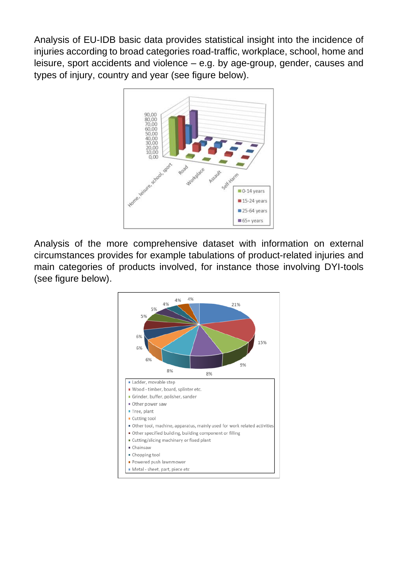Analysis of EU-IDB basic data provides statistical insight into the incidence of injuries according to broad categories road-traffic, workplace, school, home and leisure, sport accidents and violence – e.g. by age-group, gender, causes and types of injury, country and year (see figure below).



Analysis of the more comprehensive dataset with information on external circumstances provides for example tabulations of product-related injuries and main categories of products involved, for instance those involving DYI-tools (see figure below).